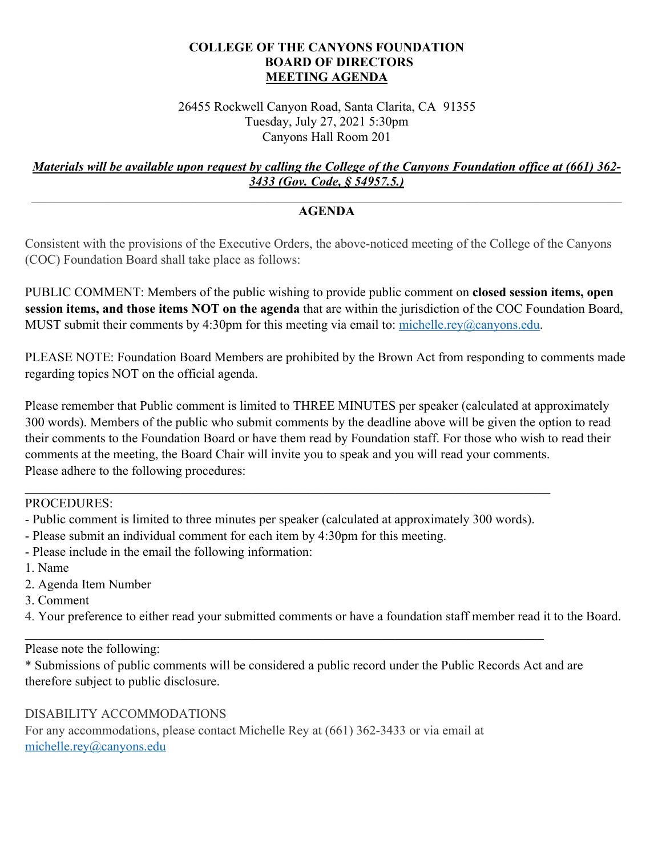## **COLLEGE OF THE CANYONS FOUNDATION BOARD OF DIRECTORS MEETING AGENDA**

 Tuesday, July 27, 2021 5:30pm Canyons Hall Room 201 26455 Rockwell Canyon Road, Santa Clarita, CA 91355

## *Materials will be available upon request by calling the College of the Canyons Foundation office at (661) 362- 3433 (Gov. Code, § 54957.5.)*

## $\mathcal{L}_\mathcal{L} = \mathcal{L}_\mathcal{L} = \mathcal{L}_\mathcal{L} = \mathcal{L}_\mathcal{L} = \mathcal{L}_\mathcal{L} = \mathcal{L}_\mathcal{L} = \mathcal{L}_\mathcal{L} = \mathcal{L}_\mathcal{L} = \mathcal{L}_\mathcal{L} = \mathcal{L}_\mathcal{L} = \mathcal{L}_\mathcal{L} = \mathcal{L}_\mathcal{L} = \mathcal{L}_\mathcal{L} = \mathcal{L}_\mathcal{L} = \mathcal{L}_\mathcal{L} = \mathcal{L}_\mathcal{L} = \mathcal{L}_\mathcal{L}$ **AGENDA**

Consistent with the provisions of the Executive Orders, the above-noticed meeting of the College of the Canyons (COC) Foundation Board shall take place as follows:

PUBLIC COMMENT: Members of the public wishing to provide public comment on **closed session items, open session items, and those items NOT on the agenda** that are within the jurisdiction of the COC Foundation Board, MUST submit their comments by 4:30pm for this meeting via email to: [michelle.rey@canyons.edu](mailto:michelle.rey@canyons.edu).

regarding topics NOT on the official agenda. PLEASE NOTE: Foundation Board Members are prohibited by the Brown Act from responding to comments made

Please remember that Public comment is limited to THREE MINUTES per speaker (calculated at approximately 300 words). Members of the public who submit comments by the deadline above will be given the option to read their comments to the Foundation Board or have them read by Foundation staff. For those who wish to read their comments at the meeting, the Board Chair will invite you to speak and you will read your comments. Please adhere to the following procedures:

PROCEDURES:

- Public comment is limited to three minutes per speaker (calculated at approximately 300 words).
- Please submit an individual comment for each item by 4:30pm for this meeting.
- Please include in the email the following information: 1. Name
- 
- 2. Agenda Item Number
- 3. Comment
- 4. Your preference to either read your submitted comments or have a foundation staff member read it to the Board.

Please note the following:

\* Submissions of public comments will be considered a public record under the Public Records Act and are therefore subject to public disclosure.

## DISABILITY ACCOMMODATIONS

For any accommodations, please contact Michelle Rey at (661) 362-3433 or via email at [michelle.rey@canyons.edu](mailto:michelle.rey@canyons.edu)